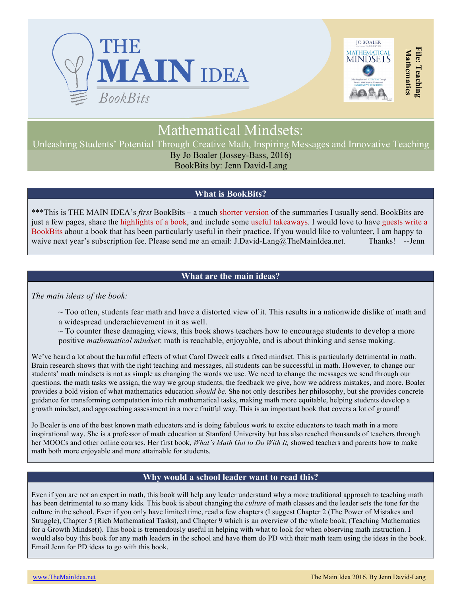



# Mathematical Mindsets:

Unleashing Students' Potential Through Creative Math, Inspiring Messages and Innovative Teaching

By Jo Boaler (Jossey-Bass, 2016)

BookBits by: Jenn David-Lang

## **What is BookBits?**

\*\*\*This is THE MAIN IDEA's *first* BookBits – a much shorter version of the summaries I usually send. BookBits are just a few pages, share the highlights of a book, and include some useful takeaways. I would love to have guests write a BookBits about a book that has been particularly useful in their practice. If you would like to volunteer, I am happy to waive next year's subscription fee. Please send me an email: J.David-Lang@TheMainIdea.net. Thanks! --Jenn

# **What are the main ideas?**

*The main ideas of the book:*

 $\sim$  Too often, students fear math and have a distorted view of it. This results in a nationwide dislike of math and a widespread underachievement in it as well.

 $\sim$  To counter these damaging views, this book shows teachers how to encourage students to develop a more positive *mathematical mindset*: math is reachable, enjoyable, and is about thinking and sense making.

We've heard a lot about the harmful effects of what Carol Dweck calls a fixed mindset. This is particularly detrimental in math. Brain research shows that with the right teaching and messages, all students can be successful in math. However, to change our students' math mindsets is not as simple as changing the words we use. We need to change the messages we send through our questions, the math tasks we assign, the way we group students, the feedback we give, how we address mistakes, and more. Boaler provides a bold vision of what mathematics education *should be*. She not only describes her philosophy, but she provides concrete guidance for transforming computation into rich mathematical tasks, making math more equitable, helping students develop a growth mindset, and approaching assessment in a more fruitful way. This is an important book that covers a lot of ground!

Jo Boaler is one of the best known math educators and is doing fabulous work to excite educators to teach math in a more inspirational way. She is a professor of math education at Stanford University but has also reached thousands of teachers through her MOOCs and other online courses. Her first book, *What's Math Got to Do With It,* showed teachers and parents how to make math both more enjoyable and more attainable for students.

## **Why would a school leader want to read this?**

Even if you are not an expert in math, this book will help any leader understand why a more traditional approach to teaching math has been detrimental to so many kids. This book is about changing the *culture* of math classes and the leader sets the tone for the culture in the school. Even if you only have limited time, read a few chapters (I suggest Chapter 2 (The Power of Mistakes and Struggle), Chapter 5 (Rich Mathematical Tasks), and Chapter 9 which is an overview of the whole book, (Teaching Mathematics for a Growth Mindset)). This book is tremendously useful in helping with what to look for when observing math instruction. I would also buy this book for any math leaders in the school and have them do PD with their math team using the ideas in the book. Email Jenn for PD ideas to go with this book.